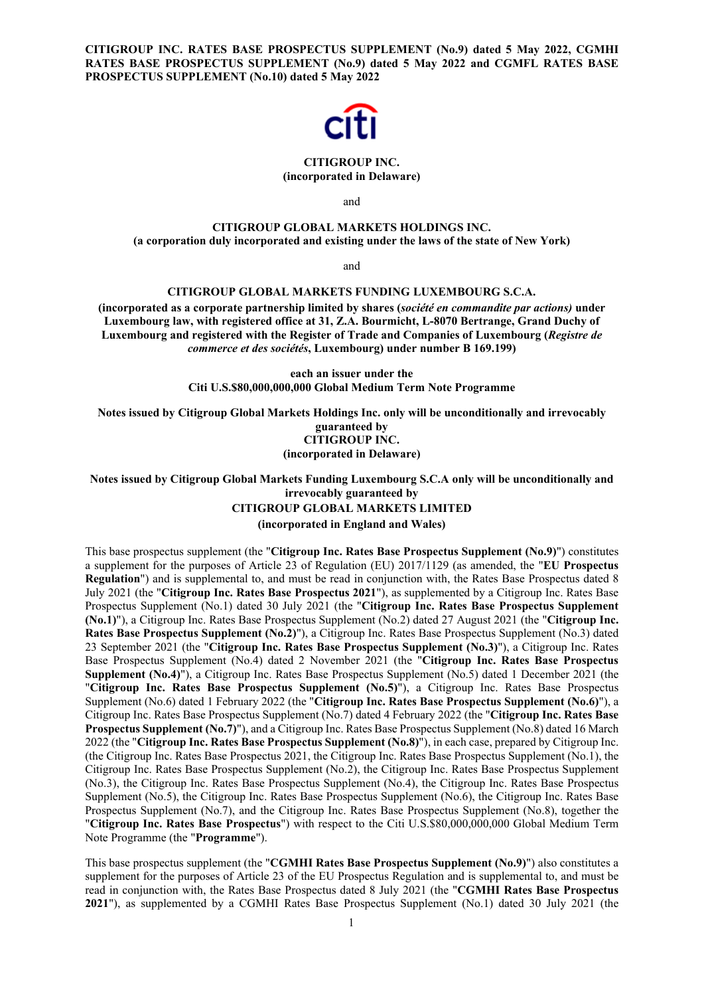**CITIGROUP INC. RATES BASE PROSPECTUS SUPPLEMENT (No.9) dated 5 May 2022, CGMHI RATES BASE PROSPECTUS SUPPLEMENT (No.9) dated 5 May 2022 and CGMFL RATES BASE PROSPECTUS SUPPLEMENT (No.10) dated 5 May 2022**



### **CITIGROUP INC. (incorporated in Delaware)**

and

# **CITIGROUP GLOBAL MARKETS HOLDINGS INC. (a corporation duly incorporated and existing under the laws of the state of New York)**

and

# **CITIGROUP GLOBAL MARKETS FUNDING LUXEMBOURG S.C.A.**

**(incorporated as a corporate partnership limited by shares (***société en commandite par actions)* **under Luxembourg law, with registered office at 31, Z.A. Bourmicht, L-8070 Bertrange, Grand Duchy of Luxembourg and registered with the Register of Trade and Companies of Luxembourg (***Registre de commerce et des sociétés***, Luxembourg) under number B 169.199)** 

> **each an issuer under the Citi U.S.\$80,000,000,000 Global Medium Term Note Programme**

**Notes issued by Citigroup Global Markets Holdings Inc. only will be unconditionally and irrevocably guaranteed by CITIGROUP INC.** 

**(incorporated in Delaware)**

**Notes issued by Citigroup Global Markets Funding Luxembourg S.C.A only will be unconditionally and irrevocably guaranteed by** 

# **CITIGROUP GLOBAL MARKETS LIMITED**

**(incorporated in England and Wales)** 

This base prospectus supplement (the "**Citigroup Inc. Rates Base Prospectus Supplement (No.9)**") constitutes a supplement for the purposes of Article 23 of Regulation (EU) 2017/1129 (as amended, the "**EU Prospectus Regulation**") and is supplemental to, and must be read in conjunction with, the Rates Base Prospectus dated 8 July 2021 (the "**Citigroup Inc. Rates Base Prospectus 2021**"), as supplemented by a Citigroup Inc. Rates Base Prospectus Supplement (No.1) dated 30 July 2021 (the "**Citigroup Inc. Rates Base Prospectus Supplement (No.1)**"), a Citigroup Inc. Rates Base Prospectus Supplement (No.2) dated 27 August 2021 (the "**Citigroup Inc. Rates Base Prospectus Supplement (No.2)**"), a Citigroup Inc. Rates Base Prospectus Supplement (No.3) dated 23 September 2021 (the "**Citigroup Inc. Rates Base Prospectus Supplement (No.3)**"), a Citigroup Inc. Rates Base Prospectus Supplement (No.4) dated 2 November 2021 (the "**Citigroup Inc. Rates Base Prospectus Supplement (No.4)**"), a Citigroup Inc. Rates Base Prospectus Supplement (No.5) dated 1 December 2021 (the "**Citigroup Inc. Rates Base Prospectus Supplement (No.5)**"), a Citigroup Inc. Rates Base Prospectus Supplement (No.6) dated 1 February 2022 (the "**Citigroup Inc. Rates Base Prospectus Supplement (No.6)**"), a Citigroup Inc. Rates Base Prospectus Supplement (No.7) dated 4 February 2022 (the "**Citigroup Inc. Rates Base Prospectus Supplement (No.7)**"), and a Citigroup Inc. Rates Base Prospectus Supplement (No.8) dated 16 March 2022 (the "**Citigroup Inc. Rates Base Prospectus Supplement (No.8)**"), in each case, prepared by Citigroup Inc. (the Citigroup Inc. Rates Base Prospectus 2021, the Citigroup Inc. Rates Base Prospectus Supplement (No.1), the Citigroup Inc. Rates Base Prospectus Supplement (No.2), the Citigroup Inc. Rates Base Prospectus Supplement (No.3), the Citigroup Inc. Rates Base Prospectus Supplement (No.4), the Citigroup Inc. Rates Base Prospectus Supplement (No.5), the Citigroup Inc. Rates Base Prospectus Supplement (No.6), the Citigroup Inc. Rates Base Prospectus Supplement (No.7), and the Citigroup Inc. Rates Base Prospectus Supplement (No.8), together the "**Citigroup Inc. Rates Base Prospectus**") with respect to the Citi U.S.\$80,000,000,000 Global Medium Term Note Programme (the "**Programme**").

This base prospectus supplement (the "**CGMHI Rates Base Prospectus Supplement (No.9)**") also constitutes a supplement for the purposes of Article 23 of the EU Prospectus Regulation and is supplemental to, and must be read in conjunction with, the Rates Base Prospectus dated 8 July 2021 (the "**CGMHI Rates Base Prospectus 2021**"), as supplemented by a CGMHI Rates Base Prospectus Supplement (No.1) dated 30 July 2021 (the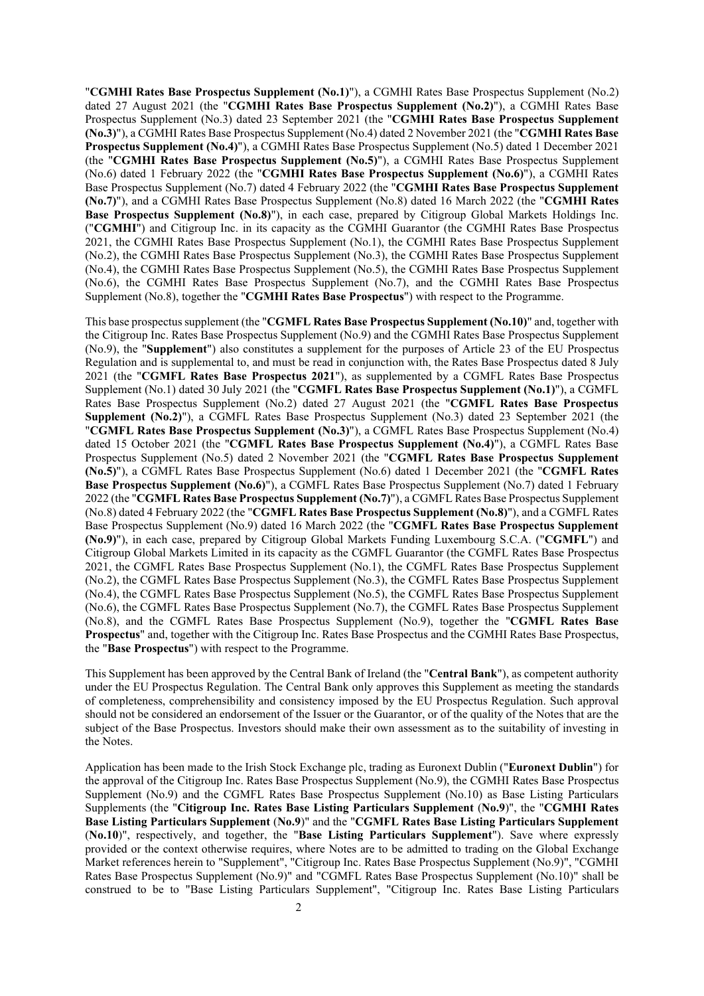"**CGMHI Rates Base Prospectus Supplement (No.1)**"), a CGMHI Rates Base Prospectus Supplement (No.2) dated 27 August 2021 (the "**CGMHI Rates Base Prospectus Supplement (No.2)**"), a CGMHI Rates Base Prospectus Supplement (No.3) dated 23 September 2021 (the "**CGMHI Rates Base Prospectus Supplement (No.3)**"), a CGMHI Rates Base Prospectus Supplement (No.4) dated 2 November 2021 (the "**CGMHI Rates Base Prospectus Supplement (No.4)**"), a CGMHI Rates Base Prospectus Supplement (No.5) dated 1 December 2021 (the "**CGMHI Rates Base Prospectus Supplement (No.5)**"), a CGMHI Rates Base Prospectus Supplement (No.6) dated 1 February 2022 (the "**CGMHI Rates Base Prospectus Supplement (No.6)**"), a CGMHI Rates Base Prospectus Supplement (No.7) dated 4 February 2022 (the "**CGMHI Rates Base Prospectus Supplement (No.7)**"), and a CGMHI Rates Base Prospectus Supplement (No.8) dated 16 March 2022 (the "**CGMHI Rates Base Prospectus Supplement (No.8)**"), in each case, prepared by Citigroup Global Markets Holdings Inc. ("**CGMHI**") and Citigroup Inc. in its capacity as the CGMHI Guarantor (the CGMHI Rates Base Prospectus 2021, the CGMHI Rates Base Prospectus Supplement (No.1), the CGMHI Rates Base Prospectus Supplement (No.2), the CGMHI Rates Base Prospectus Supplement (No.3), the CGMHI Rates Base Prospectus Supplement (No.4), the CGMHI Rates Base Prospectus Supplement (No.5), the CGMHI Rates Base Prospectus Supplement (No.6), the CGMHI Rates Base Prospectus Supplement (No.7), and the CGMHI Rates Base Prospectus Supplement (No.8), together the "**CGMHI Rates Base Prospectus**") with respect to the Programme.

This base prospectus supplement (the "**CGMFL Rates Base Prospectus Supplement (No.10)**" and, together with the Citigroup Inc. Rates Base Prospectus Supplement (No.9) and the CGMHI Rates Base Prospectus Supplement (No.9), the "**Supplement**") also constitutes a supplement for the purposes of Article 23 of the EU Prospectus Regulation and is supplemental to, and must be read in conjunction with, the Rates Base Prospectus dated 8 July 2021 (the "**CGMFL Rates Base Prospectus 2021**"), as supplemented by a CGMFL Rates Base Prospectus Supplement (No.1) dated 30 July 2021 (the "**CGMFL Rates Base Prospectus Supplement (No.1)**"), a CGMFL Rates Base Prospectus Supplement (No.2) dated 27 August 2021 (the "**CGMFL Rates Base Prospectus Supplement (No.2)**"), a CGMFL Rates Base Prospectus Supplement (No.3) dated 23 September 2021 (the "**CGMFL Rates Base Prospectus Supplement (No.3)**"), a CGMFL Rates Base Prospectus Supplement (No.4) dated 15 October 2021 (the "**CGMFL Rates Base Prospectus Supplement (No.4)**"), a CGMFL Rates Base Prospectus Supplement (No.5) dated 2 November 2021 (the "**CGMFL Rates Base Prospectus Supplement (No.5)**"), a CGMFL Rates Base Prospectus Supplement (No.6) dated 1 December 2021 (the "**CGMFL Rates Base Prospectus Supplement (No.6)**"), a CGMFL Rates Base Prospectus Supplement (No.7) dated 1 February 2022 (the "**CGMFL Rates Base Prospectus Supplement (No.7)**"), a CGMFL Rates Base Prospectus Supplement (No.8) dated 4 February 2022 (the "**CGMFL Rates Base Prospectus Supplement (No.8)**"), and a CGMFL Rates Base Prospectus Supplement (No.9) dated 16 March 2022 (the "**CGMFL Rates Base Prospectus Supplement (No.9)**"), in each case, prepared by Citigroup Global Markets Funding Luxembourg S.C.A. ("**CGMFL**") and Citigroup Global Markets Limited in its capacity as the CGMFL Guarantor (the CGMFL Rates Base Prospectus 2021, the CGMFL Rates Base Prospectus Supplement (No.1), the CGMFL Rates Base Prospectus Supplement (No.2), the CGMFL Rates Base Prospectus Supplement (No.3), the CGMFL Rates Base Prospectus Supplement (No.4), the CGMFL Rates Base Prospectus Supplement (No.5), the CGMFL Rates Base Prospectus Supplement (No.6), the CGMFL Rates Base Prospectus Supplement (No.7), the CGMFL Rates Base Prospectus Supplement (No.8), and the CGMFL Rates Base Prospectus Supplement (No.9), together the "**CGMFL Rates Base Prospectus**" and, together with the Citigroup Inc. Rates Base Prospectus and the CGMHI Rates Base Prospectus, the "**Base Prospectus**") with respect to the Programme.

This Supplement has been approved by the Central Bank of Ireland (the "**Central Bank**"), as competent authority under the EU Prospectus Regulation. The Central Bank only approves this Supplement as meeting the standards of completeness, comprehensibility and consistency imposed by the EU Prospectus Regulation. Such approval should not be considered an endorsement of the Issuer or the Guarantor, or of the quality of the Notes that are the subject of the Base Prospectus. Investors should make their own assessment as to the suitability of investing in the Notes.

Application has been made to the Irish Stock Exchange plc, trading as Euronext Dublin ("**Euronext Dublin**") for the approval of the Citigroup Inc. Rates Base Prospectus Supplement (No.9), the CGMHI Rates Base Prospectus Supplement (No.9) and the CGMFL Rates Base Prospectus Supplement (No.10) as Base Listing Particulars Supplements (the "**Citigroup Inc. Rates Base Listing Particulars Supplement** (**No.9**)", the "**CGMHI Rates Base Listing Particulars Supplement** (**No.9**)" and the "**CGMFL Rates Base Listing Particulars Supplement**  (**No.10**)", respectively, and together, the "**Base Listing Particulars Supplement**"). Save where expressly provided or the context otherwise requires, where Notes are to be admitted to trading on the Global Exchange Market references herein to "Supplement", "Citigroup Inc. Rates Base Prospectus Supplement (No.9)", "CGMHI Rates Base Prospectus Supplement (No.9)" and "CGMFL Rates Base Prospectus Supplement (No.10)" shall be construed to be to "Base Listing Particulars Supplement", "Citigroup Inc. Rates Base Listing Particulars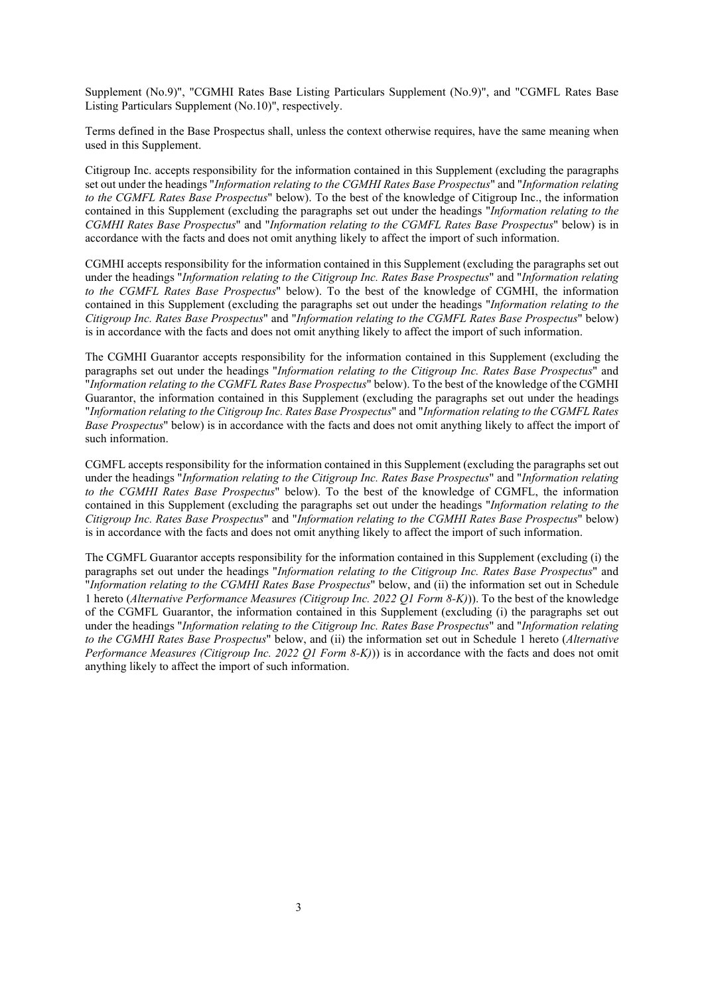Supplement (No.9)", "CGMHI Rates Base Listing Particulars Supplement (No.9)", and "CGMFL Rates Base Listing Particulars Supplement (No.10)", respectively.

Terms defined in the Base Prospectus shall, unless the context otherwise requires, have the same meaning when used in this Supplement.

Citigroup Inc. accepts responsibility for the information contained in this Supplement (excluding the paragraphs set out under the headings "*Information relating to the CGMHI Rates Base Prospectus*" and "*Information relating to the CGMFL Rates Base Prospectus*" below). To the best of the knowledge of Citigroup Inc., the information contained in this Supplement (excluding the paragraphs set out under the headings "*Information relating to the CGMHI Rates Base Prospectus*" and "*Information relating to the CGMFL Rates Base Prospectus*" below) is in accordance with the facts and does not omit anything likely to affect the import of such information.

CGMHI accepts responsibility for the information contained in this Supplement (excluding the paragraphs set out under the headings "*Information relating to the Citigroup Inc. Rates Base Prospectus*" and "*Information relating to the CGMFL Rates Base Prospectus*" below). To the best of the knowledge of CGMHI, the information contained in this Supplement (excluding the paragraphs set out under the headings "*Information relating to the Citigroup Inc. Rates Base Prospectus*" and "*Information relating to the CGMFL Rates Base Prospectus*" below) is in accordance with the facts and does not omit anything likely to affect the import of such information.

The CGMHI Guarantor accepts responsibility for the information contained in this Supplement (excluding the paragraphs set out under the headings "*Information relating to the Citigroup Inc. Rates Base Prospectus*" and "*Information relating to the CGMFL Rates Base Prospectus*" below). To the best of the knowledge of the CGMHI Guarantor, the information contained in this Supplement (excluding the paragraphs set out under the headings "*Information relating to the Citigroup Inc. Rates Base Prospectus*" and "*Information relating to the CGMFL Rates Base Prospectus*" below) is in accordance with the facts and does not omit anything likely to affect the import of such information.

CGMFL accepts responsibility for the information contained in this Supplement (excluding the paragraphs set out under the headings "*Information relating to the Citigroup Inc. Rates Base Prospectus*" and "*Information relating to the CGMHI Rates Base Prospectus*" below). To the best of the knowledge of CGMFL, the information contained in this Supplement (excluding the paragraphs set out under the headings "*Information relating to the Citigroup Inc. Rates Base Prospectus*" and "*Information relating to the CGMHI Rates Base Prospectus*" below) is in accordance with the facts and does not omit anything likely to affect the import of such information.

The CGMFL Guarantor accepts responsibility for the information contained in this Supplement (excluding (i) the paragraphs set out under the headings "*Information relating to the Citigroup Inc. Rates Base Prospectus*" and "*Information relating to the CGMHI Rates Base Prospectus*" below, and (ii) the information set out in Schedule 1 hereto (*Alternative Performance Measures (Citigroup Inc. 2022 Q1 Form 8-K)*)). To the best of the knowledge of the CGMFL Guarantor, the information contained in this Supplement (excluding (i) the paragraphs set out under the headings "*Information relating to the Citigroup Inc. Rates Base Prospectus*" and "*Information relating to the CGMHI Rates Base Prospectus*" below, and (ii) the information set out in Schedule 1 hereto (*Alternative Performance Measures (Citigroup Inc. 2022 Q1 Form 8-K)*)) is in accordance with the facts and does not omit anything likely to affect the import of such information.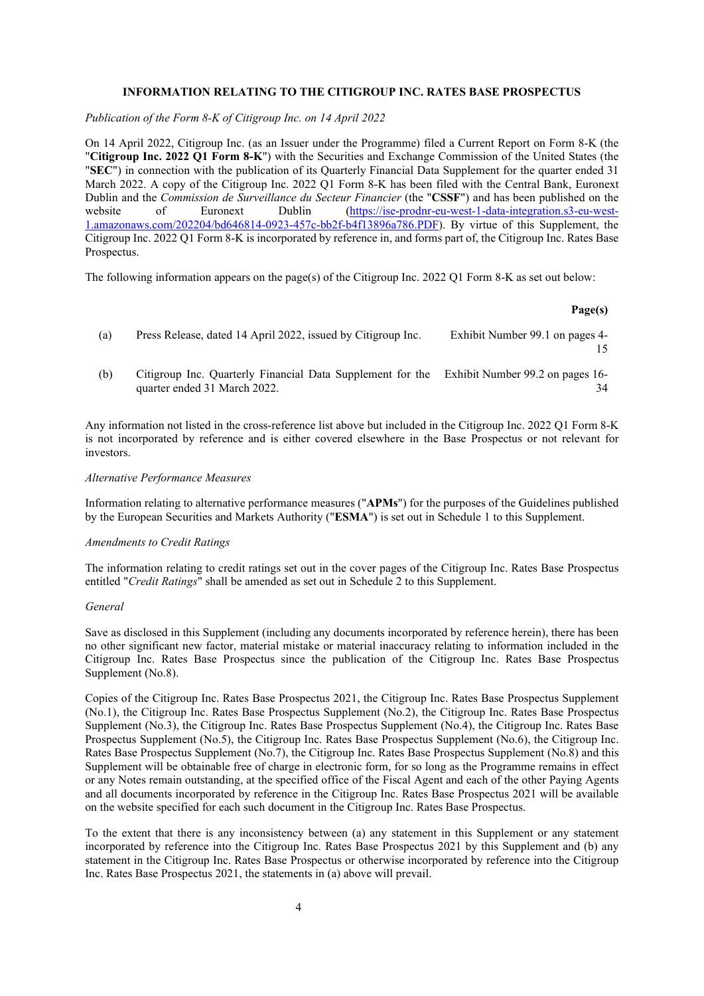## **INFORMATION RELATING TO THE CITIGROUP INC. RATES BASE PROSPECTUS**

*Publication of the Form 8-K of Citigroup Inc. on 14 April 2022* 

On 14 April 2022, Citigroup Inc. (as an Issuer under the Programme) filed a Current Report on Form 8-K (the "**Citigroup Inc. 2022 Q1 Form 8-K**") with the Securities and Exchange Commission of the United States (the "**SEC**") in connection with the publication of its Quarterly Financial Data Supplement for the quarter ended 31 March 2022. A copy of the Citigroup Inc. 2022 Q1 Form 8-K has been filed with the Central Bank, Euronext Dublin and the *Commission de Surveillance du Secteur Financier* (the "**CSSF**") and has been published on the website of Euronext Dublin [\(https://ise-prodnr-eu-west-1-data-integration.s3-eu-west-](https://protect-eu.mimecast.com/s/GraGCzmvWI6L7oYH4dv6R)[1.amazonaws.com/202204/bd646814-0923-457c-bb2f-b4f13896a786.PDF\)](https://protect-eu.mimecast.com/s/GraGCzmvWI6L7oYH4dv6R). By virtue of this Supplement, the Citigroup Inc. 2022 Q1 Form 8-K is incorporated by reference in, and forms part of, the Citigroup Inc. Rates Base Prospectus.

The following information appears on the page(s) of the Citigroup Inc. 2022 Q1 Form 8-K as set out below:

### **Page(s)**

34

| (a) | Press Release, dated 14 April 2022, issued by Citigroup Inc.                                | Exhibit Number 99.1 on pages 4- |
|-----|---------------------------------------------------------------------------------------------|---------------------------------|
| (b) | Citigroup Inc. Quarterly Financial Data Supplement for the Exhibit Number 99.2 on pages 16- |                                 |

Any information not listed in the cross-reference list above but included in the Citigroup Inc. 2022 Q1 Form 8-K is not incorporated by reference and is either covered elsewhere in the Base Prospectus or not relevant for investors.

#### *Alternative Performance Measures*

quarter ended 31 March 2022.

Information relating to alternative performance measures ("**APMs**") for the purposes of the Guidelines published by the European Securities and Markets Authority ("**ESMA**") is set out in Schedule 1 to this Supplement.

#### *Amendments to Credit Ratings*

The information relating to credit ratings set out in the cover pages of the Citigroup Inc. Rates Base Prospectus entitled "*Credit Ratings*" shall be amended as set out in Schedule 2 to this Supplement.

### *General*

Save as disclosed in this Supplement (including any documents incorporated by reference herein), there has been no other significant new factor, material mistake or material inaccuracy relating to information included in the Citigroup Inc. Rates Base Prospectus since the publication of the Citigroup Inc. Rates Base Prospectus Supplement (No.8).

Copies of the Citigroup Inc. Rates Base Prospectus 2021, the Citigroup Inc. Rates Base Prospectus Supplement (No.1), the Citigroup Inc. Rates Base Prospectus Supplement (No.2), the Citigroup Inc. Rates Base Prospectus Supplement (No.3), the Citigroup Inc. Rates Base Prospectus Supplement (No.4), the Citigroup Inc. Rates Base Prospectus Supplement (No.5), the Citigroup Inc. Rates Base Prospectus Supplement (No.6), the Citigroup Inc. Rates Base Prospectus Supplement (No.7), the Citigroup Inc. Rates Base Prospectus Supplement (No.8) and this Supplement will be obtainable free of charge in electronic form, for so long as the Programme remains in effect or any Notes remain outstanding, at the specified office of the Fiscal Agent and each of the other Paying Agents and all documents incorporated by reference in the Citigroup Inc. Rates Base Prospectus 2021 will be available on the website specified for each such document in the Citigroup Inc. Rates Base Prospectus.

To the extent that there is any inconsistency between (a) any statement in this Supplement or any statement incorporated by reference into the Citigroup Inc. Rates Base Prospectus 2021 by this Supplement and (b) any statement in the Citigroup Inc. Rates Base Prospectus or otherwise incorporated by reference into the Citigroup Inc. Rates Base Prospectus 2021, the statements in (a) above will prevail.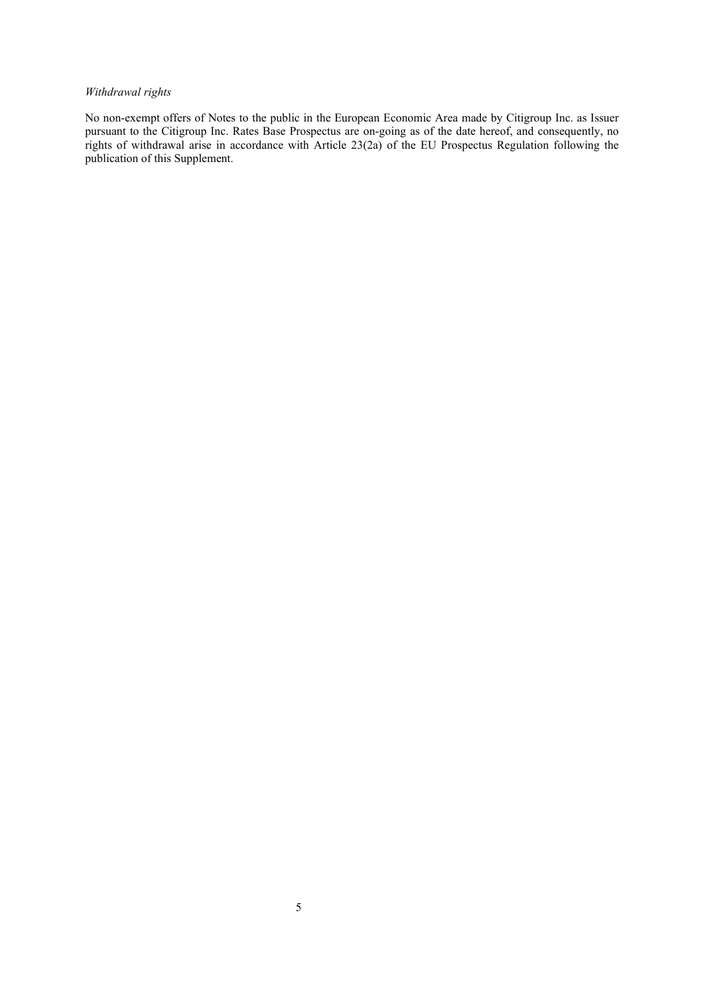# *Withdrawal rights*

No non-exempt offers of Notes to the public in the European Economic Area made by Citigroup Inc. as Issuer pursuant to the Citigroup Inc. Rates Base Prospectus are on-going as of the date hereof, and consequently, no rights of withdrawal arise in accordance with Article 23(2a) of the EU Prospectus Regulation following the publication of this Supplement.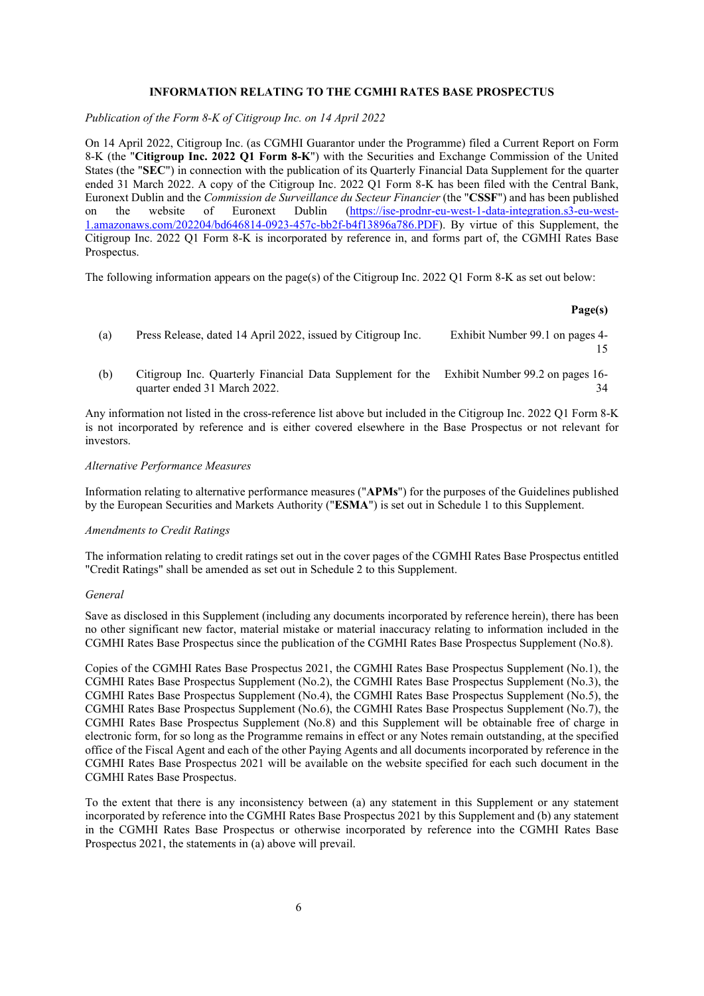## **INFORMATION RELATING TO THE CGMHI RATES BASE PROSPECTUS**

*Publication of the Form 8-K of Citigroup Inc. on 14 April 2022* 

On 14 April 2022, Citigroup Inc. (as CGMHI Guarantor under the Programme) filed a Current Report on Form 8-K (the "**Citigroup Inc. 2022 Q1 Form 8-K**") with the Securities and Exchange Commission of the United States (the "**SEC**") in connection with the publication of its Quarterly Financial Data Supplement for the quarter ended 31 March 2022. A copy of the Citigroup Inc. 2022 Q1 Form 8-K has been filed with the Central Bank, Euronext Dublin and the *Commission de Surveillance du Secteur Financier* (the "**CSSF**") and has been published on the website of Euronext Dublin [\(https://ise-prodnr-eu-west-1-data-integration.s3-eu-west-](https://protect-eu.mimecast.com/s/GraGCzmvWI6L7oYH4dv6R)[1.amazonaws.com/202204/bd646814-0923-457c-bb2f-b4f13896a786.PDF\)](https://protect-eu.mimecast.com/s/GraGCzmvWI6L7oYH4dv6R). By virtue of this Supplement, the Citigroup Inc. 2022 Q1 Form 8-K is incorporated by reference in, and forms part of, the CGMHI Rates Base Prospectus.

The following information appears on the page(s) of the Citigroup Inc. 2022 Q1 Form 8-K as set out below:

### **Page(s)**

- (a) Press Release, dated 14 April 2022, issued by Citigroup Inc. Exhibit Number 99.1 on pages 4- 15
- (b) Citigroup Inc. Quarterly Financial Data Supplement for the Exhibit Number 99.2 on pages 16 quarter ended 31 March 2022. 34

Any information not listed in the cross-reference list above but included in the Citigroup Inc. 2022 Q1 Form 8-K is not incorporated by reference and is either covered elsewhere in the Base Prospectus or not relevant for investors.

#### *Alternative Performance Measures*

Information relating to alternative performance measures ("**APMs**") for the purposes of the Guidelines published by the European Securities and Markets Authority ("**ESMA**") is set out in Schedule 1 to this Supplement.

### *Amendments to Credit Ratings*

The information relating to credit ratings set out in the cover pages of the CGMHI Rates Base Prospectus entitled "Credit Ratings" shall be amended as set out in Schedule 2 to this Supplement.

## *General*

Save as disclosed in this Supplement (including any documents incorporated by reference herein), there has been no other significant new factor, material mistake or material inaccuracy relating to information included in the CGMHI Rates Base Prospectus since the publication of the CGMHI Rates Base Prospectus Supplement (No.8).

Copies of the CGMHI Rates Base Prospectus 2021, the CGMHI Rates Base Prospectus Supplement (No.1), the CGMHI Rates Base Prospectus Supplement (No.2), the CGMHI Rates Base Prospectus Supplement (No.3), the CGMHI Rates Base Prospectus Supplement (No.4), the CGMHI Rates Base Prospectus Supplement (No.5), the CGMHI Rates Base Prospectus Supplement (No.6), the CGMHI Rates Base Prospectus Supplement (No.7), the CGMHI Rates Base Prospectus Supplement (No.8) and this Supplement will be obtainable free of charge in electronic form, for so long as the Programme remains in effect or any Notes remain outstanding, at the specified office of the Fiscal Agent and each of the other Paying Agents and all documents incorporated by reference in the CGMHI Rates Base Prospectus 2021 will be available on the website specified for each such document in the CGMHI Rates Base Prospectus.

To the extent that there is any inconsistency between (a) any statement in this Supplement or any statement incorporated by reference into the CGMHI Rates Base Prospectus 2021 by this Supplement and (b) any statement in the CGMHI Rates Base Prospectus or otherwise incorporated by reference into the CGMHI Rates Base Prospectus 2021, the statements in (a) above will prevail.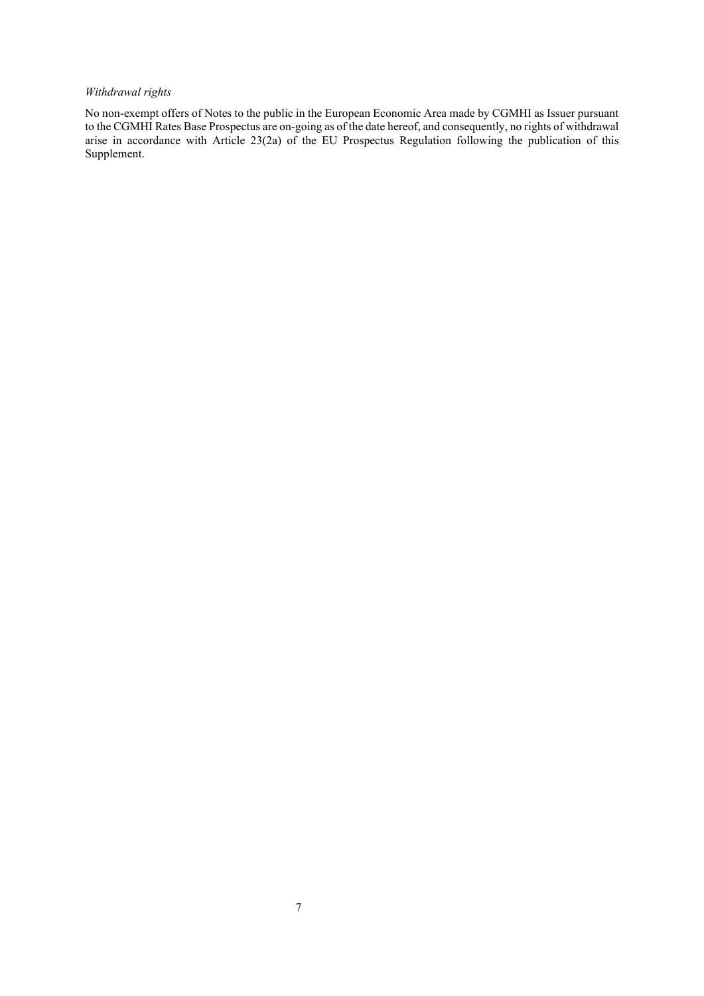# *Withdrawal rights*

No non-exempt offers of Notes to the public in the European Economic Area made by CGMHI as Issuer pursuant to the CGMHI Rates Base Prospectus are on-going as of the date hereof, and consequently, no rights of withdrawal arise in accordance with Article 23(2a) of the EU Prospectus Regulation following the publication of this Supplement.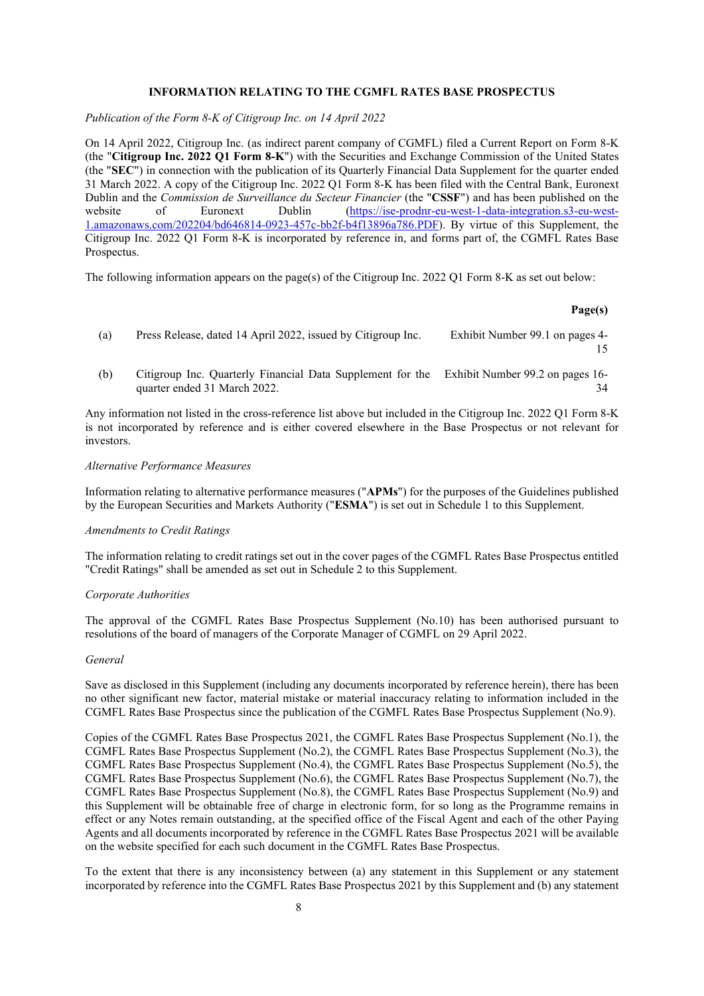# **INFORMATION RELATING TO THE CGMFL RATES BASE PROSPECTUS**

*Publication of the Form 8-K of Citigroup Inc. on 14 April 2022* 

On 14 April 2022, Citigroup Inc. (as indirect parent company of CGMFL) filed a Current Report on Form 8-K (the "**Citigroup Inc. 2022 Q1 Form 8-K**") with the Securities and Exchange Commission of the United States (the "**SEC**") in connection with the publication of its Quarterly Financial Data Supplement for the quarter ended 31 March 2022. A copy of the Citigroup Inc. 2022 Q1 Form 8-K has been filed with the Central Bank, Euronext Dublin and the *Commission de Surveillance du Secteur Financier* (the "**CSSF**") and has been published on the website of Euronext Dublin [\(https://ise-prodnr-eu-west-1-data-integration.s3-eu-west-](https://protect-eu.mimecast.com/s/GraGCzmvWI6L7oYH4dv6R)[1.amazonaws.com/202204/bd646814-0923-457c-bb2f-b4f13896a786.PDF\)](https://protect-eu.mimecast.com/s/GraGCzmvWI6L7oYH4dv6R). By virtue of this Supplement, the Citigroup Inc. 2022 Q1 Form 8-K is incorporated by reference in, and forms part of, the CGMFL Rates Base Prospectus.

The following information appears on the page(s) of the Citigroup Inc. 2022 Q1 Form 8-K as set out below:

### **Page(s)**

- (a) Press Release, dated 14 April 2022, issued by Citigroup Inc. Exhibit Number 99.1 on pages 4- 15
- (b) Citigroup Inc. Quarterly Financial Data Supplement for the Exhibit Number 99.2 on pages 16 quarter ended 31 March 2022. 34

Any information not listed in the cross-reference list above but included in the Citigroup Inc. 2022 Q1 Form 8-K is not incorporated by reference and is either covered elsewhere in the Base Prospectus or not relevant for investors.

#### *Alternative Performance Measures*

Information relating to alternative performance measures ("**APMs**") for the purposes of the Guidelines published by the European Securities and Markets Authority ("**ESMA**") is set out in Schedule 1 to this Supplement.

#### *Amendments to Credit Ratings*

The information relating to credit ratings set out in the cover pages of the CGMFL Rates Base Prospectus entitled "Credit Ratings" shall be amended as set out in Schedule 2 to this Supplement.

## *Corporate Authorities*

The approval of the CGMFL Rates Base Prospectus Supplement (No.10) has been authorised pursuant to resolutions of the board of managers of the Corporate Manager of CGMFL on 29 April 2022.

#### *General*

Save as disclosed in this Supplement (including any documents incorporated by reference herein), there has been no other significant new factor, material mistake or material inaccuracy relating to information included in the CGMFL Rates Base Prospectus since the publication of the CGMFL Rates Base Prospectus Supplement (No.9).

Copies of the CGMFL Rates Base Prospectus 2021, the CGMFL Rates Base Prospectus Supplement (No.1), the CGMFL Rates Base Prospectus Supplement (No.2), the CGMFL Rates Base Prospectus Supplement (No.3), the CGMFL Rates Base Prospectus Supplement (No.4), the CGMFL Rates Base Prospectus Supplement (No.5), the CGMFL Rates Base Prospectus Supplement (No.6), the CGMFL Rates Base Prospectus Supplement (No.7), the CGMFL Rates Base Prospectus Supplement (No.8), the CGMFL Rates Base Prospectus Supplement (No.9) and this Supplement will be obtainable free of charge in electronic form, for so long as the Programme remains in effect or any Notes remain outstanding, at the specified office of the Fiscal Agent and each of the other Paying Agents and all documents incorporated by reference in the CGMFL Rates Base Prospectus 2021 will be available on the website specified for each such document in the CGMFL Rates Base Prospectus.

To the extent that there is any inconsistency between (a) any statement in this Supplement or any statement incorporated by reference into the CGMFL Rates Base Prospectus 2021 by this Supplement and (b) any statement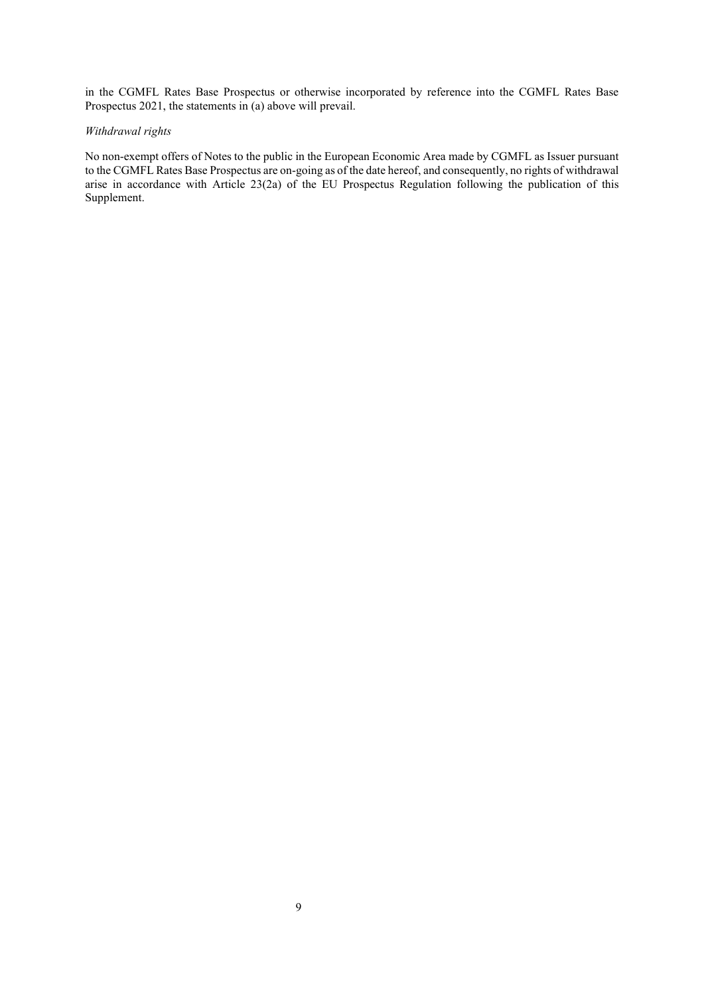in the CGMFL Rates Base Prospectus or otherwise incorporated by reference into the CGMFL Rates Base Prospectus 2021, the statements in (a) above will prevail.

# *Withdrawal rights*

No non-exempt offers of Notes to the public in the European Economic Area made by CGMFL as Issuer pursuant to the CGMFL Rates Base Prospectus are on-going as of the date hereof, and consequently, no rights of withdrawal arise in accordance with Article 23(2a) of the EU Prospectus Regulation following the publication of this Supplement.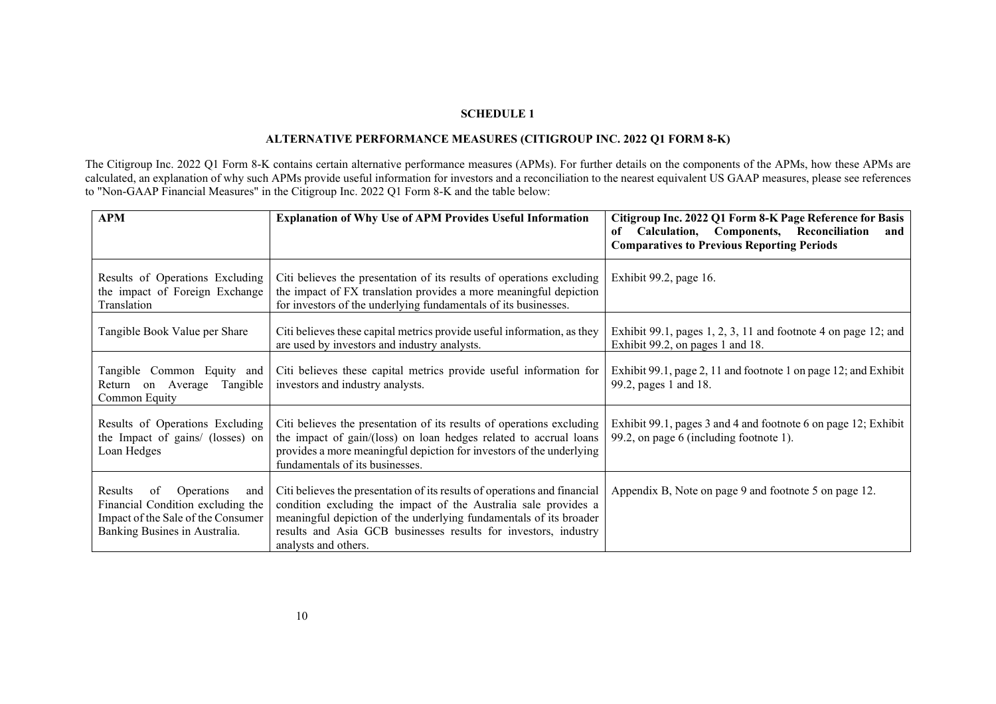# **SCHEDULE 1**

# **ALTERNATIVE PERFORMANCE MEASURES (CITIGROUP INC. 2022 Q1 FORM 8-K)**

The Citigroup Inc. 2022 Q1 Form 8-K contains certain alternative performance measures (APMs). For further details on the components of the APMs, how these APMs are calculated, an explanation of why such APMs provide useful information for investors and a reconciliation to the nearest equivalent US GAAP measures, please see references to "Non-GAAP Financial Measures" in the Citigroup Inc. 2022 Q1 Form 8-K and the table below:

| APM                                                                                                                                                | <b>Explanation of Why Use of APM Provides Useful Information</b>                                                                                                                                                                                                                                              | Citigroup Inc. 2022 Q1 Form 8-K Page Reference for Basis<br>Calculation, Components, Reconciliation<br>and<br>of<br><b>Comparatives to Previous Reporting Periods</b> |
|----------------------------------------------------------------------------------------------------------------------------------------------------|---------------------------------------------------------------------------------------------------------------------------------------------------------------------------------------------------------------------------------------------------------------------------------------------------------------|-----------------------------------------------------------------------------------------------------------------------------------------------------------------------|
| Results of Operations Excluding<br>the impact of Foreign Exchange<br>Translation                                                                   | Citi believes the presentation of its results of operations excluding<br>the impact of FX translation provides a more meaningful depiction<br>for investors of the underlying fundamentals of its businesses.                                                                                                 | Exhibit 99.2, page 16.                                                                                                                                                |
| Tangible Book Value per Share                                                                                                                      | Citi believes these capital metrics provide useful information, as they<br>are used by investors and industry analysts.                                                                                                                                                                                       | Exhibit 99.1, pages $1, 2, 3, 11$ and footnote 4 on page 12; and<br>Exhibit 99.2, on pages 1 and 18.                                                                  |
| Tangible Common Equity and<br>on Average<br>Tangible<br>Return<br>Common Equity                                                                    | Citi believes these capital metrics provide useful information for<br>investors and industry analysts.                                                                                                                                                                                                        | Exhibit 99.1, page 2, 11 and footnote 1 on page 12; and Exhibit<br>99.2, pages 1 and 18.                                                                              |
| Results of Operations Excluding<br>the Impact of gains/ (losses) on<br>Loan Hedges                                                                 | Citi believes the presentation of its results of operations excluding<br>the impact of gain/(loss) on loan hedges related to accrual loans<br>provides a more meaningful depiction for investors of the underlying<br>fundamentals of its businesses.                                                         | Exhibit 99.1, pages 3 and 4 and footnote 6 on page 12; Exhibit<br>99.2, on page 6 (including footnote 1).                                                             |
| of Operations<br><b>Results</b><br>and<br>Financial Condition excluding the<br>Impact of the Sale of the Consumer<br>Banking Busines in Australia. | Citi believes the presentation of its results of operations and financial<br>condition excluding the impact of the Australia sale provides a<br>meaningful depiction of the underlying fundamentals of its broader<br>results and Asia GCB businesses results for investors, industry<br>analysts and others. | Appendix B, Note on page 9 and footnote 5 on page 12.                                                                                                                 |